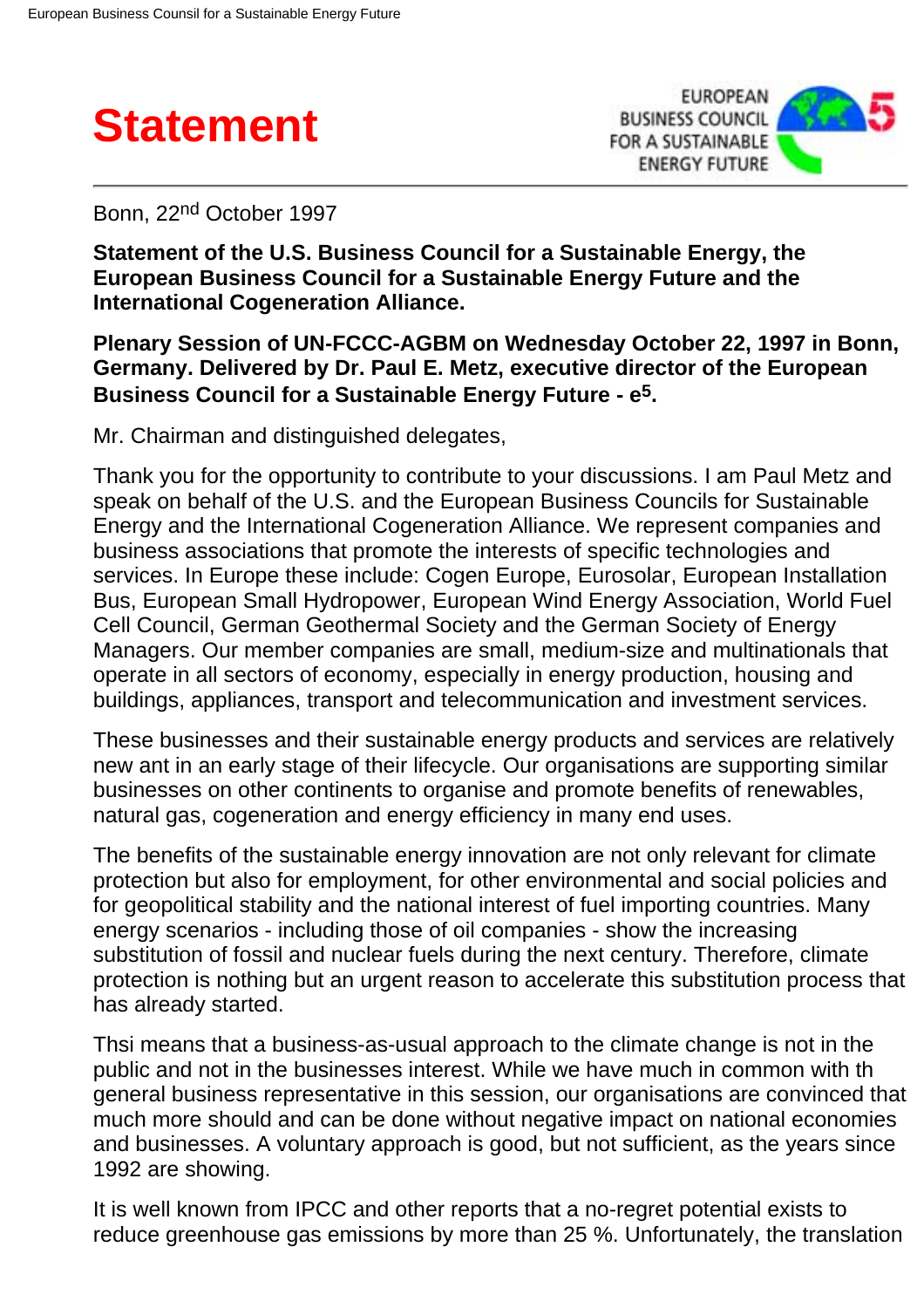



Bonn, 22nd October 1997

**Statement of the U.S. Business Council for a Sustainable Energy, the European Business Council for a Sustainable Energy Future and the International Cogeneration Alliance.**

## **Plenary Session of UN-FCCC-AGBM on Wednesday October 22, 1997 in Bonn, Germany. Delivered by Dr. Paul E. Metz, executive director of the European Business Council for a Sustainable Energy Future - e5.**

Mr. Chairman and distinguished delegates,

Thank you for the opportunity to contribute to your discussions. I am Paul Metz and speak on behalf of the U.S. and the European Business Councils for Sustainable Energy and the International Cogeneration Alliance. We represent companies and business associations that promote the interests of specific technologies and services. In Europe these include: Cogen Europe, Eurosolar, European Installation Bus, European Small Hydropower, European Wind Energy Association, World Fuel Cell Council, German Geothermal Society and the German Society of Energy Managers. Our member companies are small, medium-size and multinationals that operate in all sectors of economy, especially in energy production, housing and buildings, appliances, transport and telecommunication and investment services.

These businesses and their sustainable energy products and services are relatively new ant in an early stage of their lifecycle. Our organisations are supporting similar businesses on other continents to organise and promote benefits of renewables, natural gas, cogeneration and energy efficiency in many end uses.

The benefits of the sustainable energy innovation are not only relevant for climate protection but also for employment, for other environmental and social policies and for geopolitical stability and the national interest of fuel importing countries. Many energy scenarios - including those of oil companies - show the increasing substitution of fossil and nuclear fuels during the next century. Therefore, climate protection is nothing but an urgent reason to accelerate this substitution process that has already started.

Thsi means that a business-as-usual approach to the climate change is not in the public and not in the businesses interest. While we have much in common with th general business representative in this session, our organisations are convinced that much more should and can be done without negative impact on national economies and businesses. A voluntary approach is good, but not sufficient, as the years since 1992 are showing.

It is well known from IPCC and other reports that a no-regret potential exists to reduce greenhouse gas emissions by more than 25 %. Unfortunately, the translation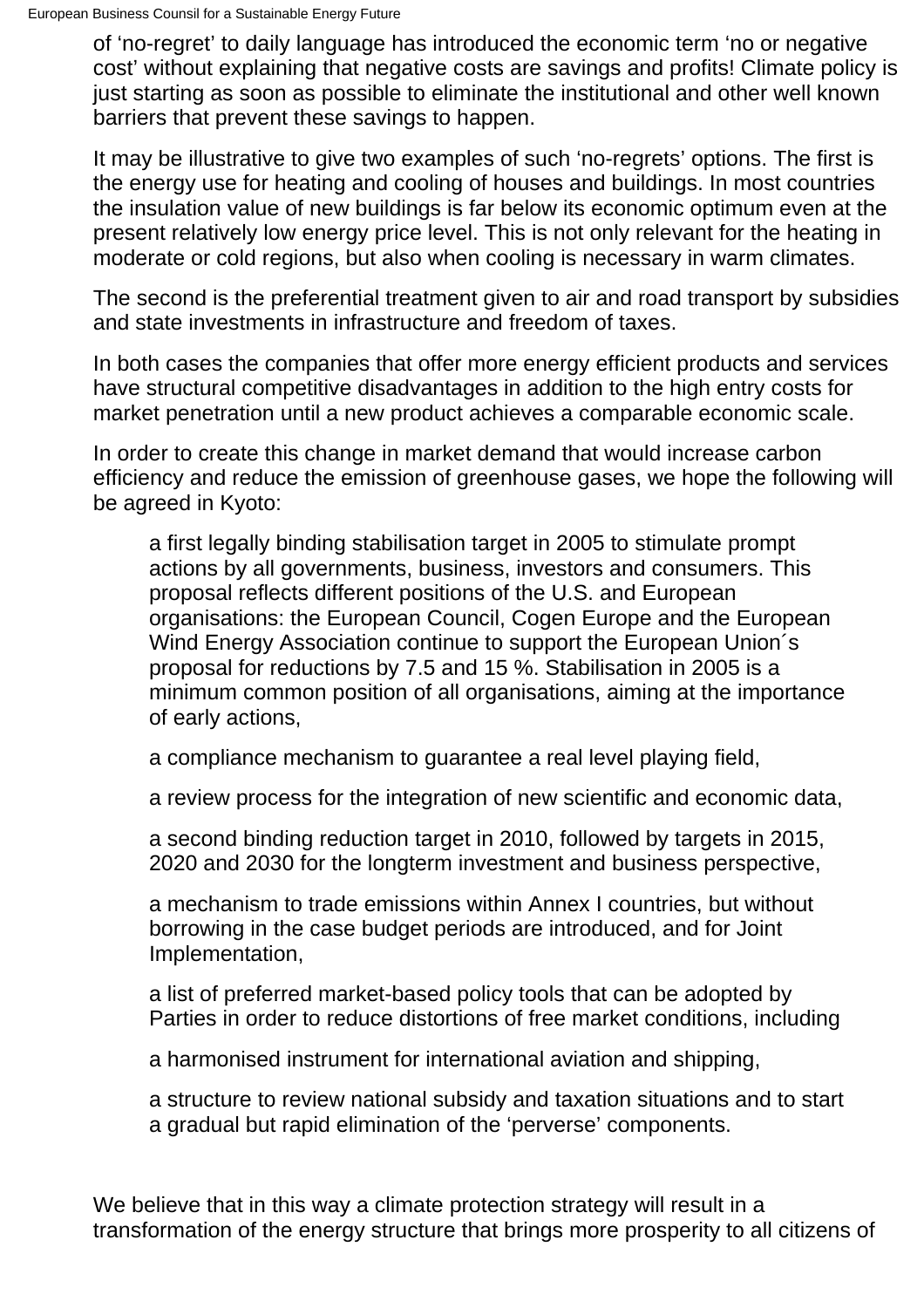of 'no-regret' to daily language has introduced the economic term 'no or negative cost' without explaining that negative costs are savings and profits! Climate policy is just starting as soon as possible to eliminate the institutional and other well known barriers that prevent these savings to happen.

It may be illustrative to give two examples of such 'no-regrets' options. The first is the energy use for heating and cooling of houses and buildings. In most countries the insulation value of new buildings is far below its economic optimum even at the present relatively low energy price level. This is not only relevant for the heating in moderate or cold regions, but also when cooling is necessary in warm climates.

The second is the preferential treatment given to air and road transport by subsidies and state investments in infrastructure and freedom of taxes.

In both cases the companies that offer more energy efficient products and services have structural competitive disadvantages in addition to the high entry costs for market penetration until a new product achieves a comparable economic scale.

In order to create this change in market demand that would increase carbon efficiency and reduce the emission of greenhouse gases, we hope the following will be agreed in Kyoto:

a first legally binding stabilisation target in 2005 to stimulate prompt actions by all governments, business, investors and consumers. This proposal reflects different positions of the U.S. and European organisations: the European Council, Cogen Europe and the European Wind Energy Association continue to support the European Union´s proposal for reductions by 7.5 and 15 %. Stabilisation in 2005 is a minimum common position of all organisations, aiming at the importance of early actions,

a compliance mechanism to guarantee a real level playing field,

a review process for the integration of new scientific and economic data,

a second binding reduction target in 2010, followed by targets in 2015, 2020 and 2030 for the longterm investment and business perspective,

a mechanism to trade emissions within Annex I countries, but without borrowing in the case budget periods are introduced, and for Joint Implementation,

a list of preferred market-based policy tools that can be adopted by Parties in order to reduce distortions of free market conditions, including

a harmonised instrument for international aviation and shipping,

a structure to review national subsidy and taxation situations and to start a gradual but rapid elimination of the 'perverse' components.

We believe that in this way a climate protection strategy will result in a transformation of the energy structure that brings more prosperity to all citizens of